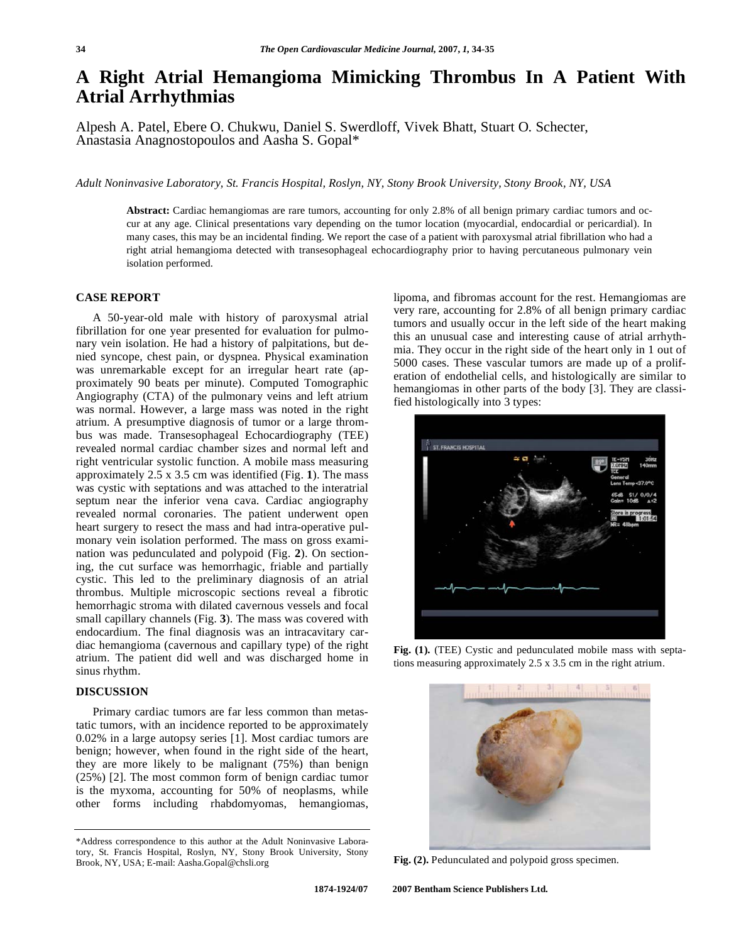## **A Right Atrial Hemangioma Mimicking Thrombus In A Patient With Atrial Arrhythmias**

Alpesh A. Patel, Ebere O. Chukwu, Daniel S. Swerdloff, Vivek Bhatt, Stuart O. Schecter, Anastasia Anagnostopoulos and Aasha S. Gopal\*

*Adult Noninvasive Laboratory, St. Francis Hospital, Roslyn, NY, Stony Brook University, Stony Brook, NY, USA* 

**Abstract:** Cardiac hemangiomas are rare tumors, accounting for only 2.8% of all benign primary cardiac tumors and occur at any age. Clinical presentations vary depending on the tumor location (myocardial, endocardial or pericardial). In many cases, this may be an incidental finding. We report the case of a patient with paroxysmal atrial fibrillation who had a right atrial hemangioma detected with transesophageal echocardiography prior to having percutaneous pulmonary vein isolation performed.

## **CASE REPORT**

 A 50-year-old male with history of paroxysmal atrial fibrillation for one year presented for evaluation for pulmonary vein isolation. He had a history of palpitations, but denied syncope, chest pain, or dyspnea. Physical examination was unremarkable except for an irregular heart rate (approximately 90 beats per minute). Computed Tomographic Angiography (CTA) of the pulmonary veins and left atrium was normal. However, a large mass was noted in the right atrium. A presumptive diagnosis of tumor or a large thrombus was made. Transesophageal Echocardiography (TEE) revealed normal cardiac chamber sizes and normal left and right ventricular systolic function. A mobile mass measuring approximately 2.5 x 3.5 cm was identified (Fig. **1**). The mass was cystic with septations and was attached to the interatrial septum near the inferior vena cava. Cardiac angiography revealed normal coronaries. The patient underwent open heart surgery to resect the mass and had intra-operative pulmonary vein isolation performed. The mass on gross examination was pedunculated and polypoid (Fig. **2**). On sectioning, the cut surface was hemorrhagic, friable and partially cystic. This led to the preliminary diagnosis of an atrial thrombus. Multiple microscopic sections reveal a fibrotic hemorrhagic stroma with dilated cavernous vessels and focal small capillary channels (Fig. **3**). The mass was covered with endocardium. The final diagnosis was an intracavitary cardiac hemangioma (cavernous and capillary type) of the right atrium. The patient did well and was discharged home in sinus rhythm.

## **DISCUSSION**

 Primary cardiac tumors are far less common than metastatic tumors, with an incidence reported to be approximately 0.02% in a large autopsy series [1]. Most cardiac tumors are benign; however, when found in the right side of the heart, they are more likely to be malignant (75%) than benign (25%) [2]. The most common form of benign cardiac tumor is the myxoma, accounting for 50% of neoplasms, while other forms including rhabdomyomas, hemangiomas,

lipoma, and fibromas account for the rest. Hemangiomas are very rare, accounting for 2.8% of all benign primary cardiac tumors and usually occur in the left side of the heart making this an unusual case and interesting cause of atrial arrhythmia. They occur in the right side of the heart only in 1 out of 5000 cases. These vascular tumors are made up of a proliferation of endothelial cells, and histologically are similar to hemangiomas in other parts of the body [3]. They are classified histologically into 3 types:



**Fig. (1).** (TEE) Cystic and pedunculated mobile mass with septations measuring approximately 2.5 x 3.5 cm in the right atrium.



**Fig. (2).** Pedunculated and polypoid gross specimen.

<sup>\*</sup>Address correspondence to this author at the Adult Noninvasive Laboratory, St. Francis Hospital, Roslyn, NY, Stony Brook University, Stony Brook, NY, USA; E-mail: Aasha.Gopal@chsli.org